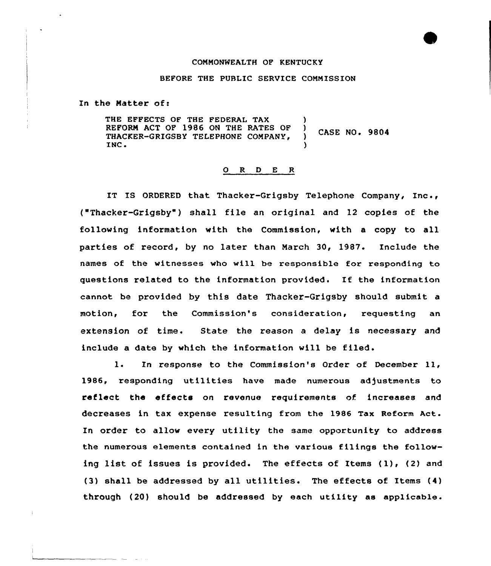## COMMONWEALTH OF KENTUCKY

## BEFORE THE PUBLIC SERVICE COMMISSION

In the Matter of:

THE EFFECTS OF THE FEDERAL TAX (1)<br>REFORM ACT OF 1986 ON THE RATES OF REFORM ACT OF 1986 ON THE RATES OF CASE NO. 9804 THACKER-GRIGSBY TELEPHONE COMPANY, INC.  $INC.$  )

## 0 R <sup>D</sup> E R

IT IS ORDERED that Thacker-Grigsby Telephone Company, Inc., ("Thacker-Grigsby") shall file an original and 12 copies of the following information with the Commission, with a copy to all parties of record, by no later than March 30, 1987. Include the names of the witnesses who will be responsible for responding to questions related to the information provided. If the information cannot be provided by this date Thacker-Grigsby should submit a motion, for the Commission's consideration, requesting an extension of time. State the reason a delay is necessary and include a date by which the information will be filed.

l. In response to the Commission's Order of December 11, 1986, responding utilities have made numerous adjustments to reflect the effects on revenue requirements of increases and decreases in tax expense resulting from the 1986 Tax Reform Act. In order to allow every utility the same opportunity to address the numerous elements contained in the various filings the following list of issues is provided. The effects of Items (1), (2) and (3) shall be addressed by all utilities. The effects of Items (4) through (20) should be addressed by each utility as applicable.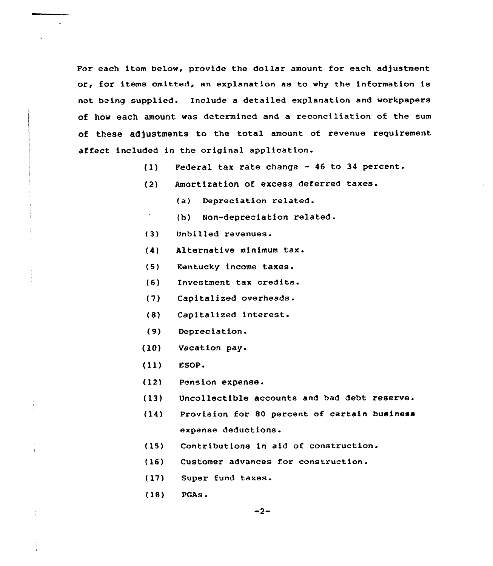For each item below, provide the dollar amount for each adjustment or, for items omitted, an explanation as to why the information is not being supplied. Include a detailed explanation and workpapers of how each amount was determined and a reconciliation of the sum of these adjustments to the total amount of revenue requirement affect included in the original application.

- (1) Federal tax rate change <sup>46</sup> to 34 percent.
- (2) Amortization of excess deferred
	- $(a)$ Depreciation related.
	- (b) Non-depreciation related.
- (3) Unbilled revenues.
- {4) Alternative minimum tax.
- (5) Kentucky income taxes.
- (6) Investment tax credits.
- (7) Capitalized overheads.
- (8) Capitalized interest.
- (9) Depreciation.
- (10) Vacation pay.
- $(11)$  ESOP.
- (12) Pension expense.
- (13) Uncollectible accounts and bad debt reserve.
- (14) Provision for 80 percent of certain business expense deductions.
- (15) Contributions in aid of construction.
- (16) Customer advances for construction.
- (17) Super fund taxes.
- (18) PGAs.